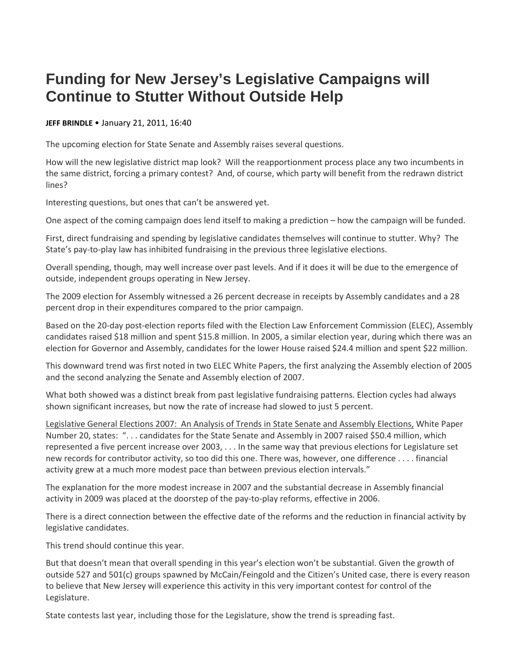## **Funding for New Jersey's Legislative Campaigns will Continue to Stutter Without Outside Help**

## **JEFF BRINDLE** • January 21, 2011, 16:40

The upcoming election for State Senate and Assembly raises several questions.

How will the new legislative district map look? Will the reapportionment process place any two incumbents in the same district, forcing a primary contest? And, of course, which party will benefit from the redrawn district lines?

Interesting questions, but ones that can't be answered yet.

One aspect of the coming campaign does lend itself to making a prediction – how the campaign will be funded.

First, direct fundraising and spending by legislative candidates themselves will continue to stutter. Why? The State's pay-to-play law has inhibited fundraising in the previous three legislative elections.

Overall spending, though, may well increase over past levels. And if it does it will be due to the emergence of outside, independent groups operating in New Jersey.

The 2009 election for Assembly witnessed a 26 percent decrease in receipts by Assembly candidates and a 28 percent drop in their expenditures compared to the prior campaign.

Based on the 20-day post-election reports filed with the Election Law Enforcement Commission (ELEC), Assembly candidates raised \$18 million and spent \$15.8 million. In 2005, a similar election year, during which there was an election for Governor and Assembly, candidates for the lower House raised \$24.4 million and spent \$22 million.

This downward trend was first noted in two ELEC White Papers, the first analyzing the Assembly election of 2005 and the second analyzing the Senate and Assembly election of 2007.

What both showed was a distinct break from past legislative fundraising patterns. Election cycles had always shown significant increases, but now the rate of increase had slowed to just 5 percent.

Legislative General Elections 2007: An Analysis of Trends in State Senate and Assembly Elections, White Paper Number 20, states: ". . . candidates for the State Senate and Assembly in 2007 raised \$50.4 million, which represented a five percent increase over 2003, . . . In the same way that previous elections for Legislature set new records for contributor activity, so too did this one. There was, however, one difference . . . . financial activity grew at a much more modest pace than between previous election intervals."

The explanation for the more modest increase in 2007 and the substantial decrease in Assembly financial activity in 2009 was placed at the doorstep of the pay-to-play reforms, effective in 2006.

There is a direct connection between the effective date of the reforms and the reduction in financial activity by legislative candidates.

This trend should continue this year.

But that doesn't mean that overall spending in this year's election won't be substantial. Given the growth of outside 527 and 501(c) groups spawned by McCain/Feingold and the Citizen's United case, there is every reason to believe that New Jersey will experience this activity in this very important contest for control of the Legislature.

State contests last year, including those for the Legislature, show the trend is spreading fast.